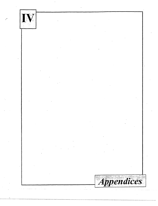

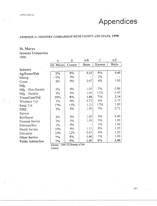.-1 f'l'/:".V/J[C/:·s

f

 $\pm$  ( )

# **Appendices**

# APPENDIX A: INDUSTRY COMPARISON WITH COUNTY AND STATE, 1990

# St. Marys

# Industry Comparison 1990

|                    | A         | B      | A/B   | С      | A/C   |
|--------------------|-----------|--------|-------|--------|-------|
|                    | St. Marys | County | Ratio | Kansas | Ratio |
| Industry           |           |        |       |        |       |
| Ag/Forest/Fish     | 2%        | 9%     | 0.22  | 5%     | 0.40  |
| Mining             | $-0\%$    | $0\%$  |       | $1\%$  |       |
| Constr             | 6%        | 9%     | 0.67  | 6%     | 1.00  |
| Mfg.               |           |        |       |        |       |
| Mfg. - Non-Durable | 6%        | 6%     | 1.00  | 7%     | 0.86  |
| Mfg. - Durable     | 5%        | 5%     | 1.00  | 11%    | 0.45  |
| Trans/Com/Util     | 15%       | $8\%$  | 1.88  | 7%     | 2.14  |
| Wholesale Trd      | 3%        | 4%     | 0.75  | 4%     | 0.75  |
| Retail Trd         | 17%       | 15%    | 1.13  | 17%    | 1.00  |
| FIRE               | 5%        | 5%     | 1.00  | 7%     | 0.71  |
| Service            |           |        |       |        |       |
| Bus/Repair         | 2%        | 2%     | 1.00  | 5%     | 0.40  |
| Personal Service   | 3%        | 3%     | 1.00  | 3%     | 1.00  |
| Entertain/Rec      | $1\%$     | 0%     |       | $1\%$  | 1.00  |
| Health Service     | 10%       | 9%     | 1.11  | 8%     | 1.25  |
| Education          | 10%       | 12%    | 0.83  | 8%     | 1.25  |
| Other Service      | 7%        | 5%     | 1.40  | 7%     | 1.00  |
| Public Admin/Gov   | 7%        | $5\%$  | 1.40  | 5%     | 1.40  |

Source: 1990 US Bureau of the

المناجع المنابذ المتعطي والمنادر

Census

 $\frac{111}{111}$ 

القارب والمعاري والمرابط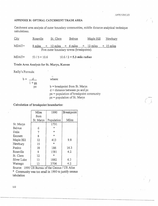# APPENDIX B: OPTIMAL CATCHMENT TRADE AREA

Catchment area analysis of outer boundary communities, middle distance analytical technique calculations.

| City  | Rossville | St. Clere | Belvue                                            | <u>Maple Hill</u> | <u>Newbury</u> |  |
|-------|-----------|-----------|---------------------------------------------------|-------------------|----------------|--|
| MDAT= |           |           | $8 \text{ miles}$ + 12 miles + 6 miles + 12 miles |                   | $+$ 15 miles   |  |
|       |           |           | Five outer boundary towns (breakpoints).          |                   |                |  |

MDAT=  $53/5 = 10.6$   $10.6/2 = 5.3$  mile radius

# Trade Area Analysis for St. Marys, Kansas

Reilly's Formula:

| $h =$ | $1 + px$ | where:                                                                                                                                            |  |
|-------|----------|---------------------------------------------------------------------------------------------------------------------------------------------------|--|
|       | DΖ       | $b =$ breakpoint from St. Marys<br>$d = distance between px and pz$<br>$px = population of breakdown community$<br>$pz = population of St. Marys$ |  |

Calculation of breakpoint boundaries:

|             | Miles     | 1990       | Breakpoint |
|-------------|-----------|------------|------------|
|             | from      |            |            |
|             | St. Marys | Population | Miles      |
| St. Marys   |           | 1791       |            |
| Belvue      | 6         | $\ast$     |            |
| Delia       | 7         | $\ast$     |            |
| Emmett      | 8         | $\ast$     |            |
| Maple Hill  | 12        | 413        | 9.8        |
| Newbury     | 15        | $\ast$     |            |
| Paxico      | 18        | 186        | 16.3       |
| Rossville   | 8         | 1581       | 4.2        |
| St. Clere   | 12        | $\ast$     |            |
| Silver Lake | 13        | 1882       | 6.3        |
| Wamego      | 13        | 3706       | 4.2        |

Source: 1990 US Bureau of the Census / US Atlas

\* Community was too small in 1990 to justify census tabulation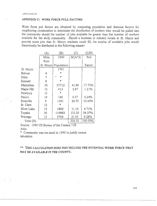# **APPENDIX C: WORK FORCE PULL FACTORS**

Work force pull factors are obtained by computing population and distance factors for neighboring communities to determine the distribution of workers who would be pulled into the community should the number of jobs available be greater than the number of workers available for the study community. Should a business or industry locate in St. Marys and provide more jobs than St. Marys residents could fill, the surplus of available jobs would theoretically be distributed in the following manner:

|             | (A)       | $\left( \mathrm{B}\right)$ | (C)       | (C/D)   |  |
|-------------|-----------|----------------------------|-----------|---------|--|
|             | Miles     | 1990                       | $B/(A^2)$ | Pull    |  |
|             | from      |                            |           |         |  |
|             | St. Marys | Population                 |           | Factor  |  |
| St. Marys   |           | 1791                       |           |         |  |
| Belvue      | 6         | ж                          |           |         |  |
| Delia       | 7         | $\ast$                     |           |         |  |
| Emmett      | 8         | $\star$                    |           |         |  |
| Manhattan   | 30        | 37712                      | 41.90     | 17.73%  |  |
| Maple Hill  | 12        | 413                        | 2.87      | 1.21%   |  |
| Newbury     | 15        | $\ast$                     |           |         |  |
| Paxico      | 18        | 186                        | 0.57      | 0.24%   |  |
| Rossville   | 8         | 1581                       | 24.70     | 10.45%  |  |
| St. Clere   | 12        | ж                          |           |         |  |
| Silver Lake | 13        | 1882                       | 11.14     | 4.71%   |  |
| Topeka      | 30        | 119883                     | 133.20    | 56.37%  |  |
| Wamego      | 13        | 3706                       | 21.93     | 9.28%   |  |
| Total (D)   |           |                            | 236.32    | 100.00% |  |

Source: 1990 US Bureau of the Census / US

Atlas

\* Community was too small *in* 1990 to justify census tabulation

\*\* **THIS CALCULATION DOES NOT INCLUDE THE POTENTIAL WORK FORCE THAT MAY BE AVAILABLE IN THE COUNTY.**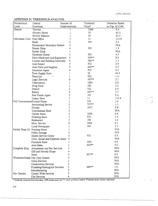$\frac{1}{\sqrt{2}}$ 

# APPENDIX D: THRESHOLD ANALYSIS

| Hierarchical                  | Central                                   | Number of      |                | Threshold | Deviation Based  |
|-------------------------------|-------------------------------------------|----------------|----------------|-----------|------------------|
| Level                         | Functions                                 | Establishments |                | Value*    | on Pop. of 2548  |
| Hamlet                        | Taverns                                   |                |                | 3066      | $\overline{0.4}$ |
|                               | Grocery Stores                            |                | 1              | 30        | 42.5             |
|                               | Service Stations                          |                | ı              | 50        | 25.5             |
| Minimum Conv. Post Office     |                                           |                | l              | 11        | 115.8            |
|                               | Bank                                      |                | 2              | 383       | 2.2              |
|                               | Elementary/ Secondary School              |                | 2              |           | N/A              |
|                               | Beauty Shop                               |                | 4              | 383       | 1.3              |
|                               | Barber Shop                               |                | 1              |           | N/A              |
|                               | Hardware Stores                           |                | 1              | 283       | 4.5              |
|                               | Farm Machinery and Equipment              |                | 0              | 309**     | 8.2              |
|                               | Lumber and Building Materials             |                | 4              | 380**     | 1.3              |
|                               | Auto Repair                               |                | $\overline{c}$ | 932       | 0.9              |
|                               | Auto Parts and Supplies                   |                | 5              | $642**$   | 0.7              |
|                               | Insurance Agent                           |                | 4              | 932       | 0.5              |
|                               | Farm Supply Store                         |                |                | 30        | 42.5             |
|                               | Physician                                 |                | 1              | 932       | 1.4              |
|                               | Legal Services                            |                | 0              | 497**     | 5.1              |
|                               | Veterinarian                              |                | 1              | 1694      | 0.8              |
|                               | Drug Store                                |                | 1              | 383       | 3.3              |
|                               | Dentist                                   |                | $\overline{c}$ | 932       | 0.9              |
|                               | Bakery                                    |                | 0              | 687**     | 3.7              |
|                               | Real Estate Agent                         |                | 2              | 383       | 2.2              |
|                               | Liquor Store                              |                | 1              | 11        | 115.8            |
| Full ConvenienceFuneral Home  |                                           |                | 1              | 932       | 1.4              |
|                               | Accounting Service                        |                | 2              | $757**$   | 1.1              |
|                               | Florists                                  |                | 1              | 1617      | 0.8              |
|                               | Convenience Store                         |                | 3              |           | N/A              |
|                               | Variety Store                             |                | 3              | 1694      | 0.4              |
|                               | Clothing Store                            |                | 1              | 932       | 1.4              |
|                               | Restaurant                                |                | 5              | 180       | 2.4              |
|                               | Misc. Service                             |                | 6              | 3066      | 0.1              |
|                               | Local Newspaper                           |                | 1              | 383       | 3.3.             |
| Partial Shop Ctr Nursing Home |                                           |                | 1              |           | N/A              |
|                               | Public Storage                            |                | 3              |           | N/A              |
|                               | Health Service Center                     |                | $\overline{2}$ | 932       | 0.9              |
|                               | Civic, Social and Fraternal Assoc. 4      |                |                |           | N/A              |
|                               | Furniture Store                           |                |                | 1961      | 0.6              |
|                               | Auto Sales                                |                | 1              | 420**     | 3.0              |
|                               | Complete Shop, Amusement and Rec Services |                | 3              |           | N/A              |
|                               | Gift and Novelty Shops                    |                | 4              |           | N/A              |
|                               | Hotel                                     |                | 0              | 603 **    | 4.2              |
|                               | Wholesale/Retail Day Care Centers         |                | 0              |           | N/A              |
|                               | Grain Elevator                            |                | 1              |           | N/A              |
|                               | <b>Construction Services</b>              | $\overline{c}$ |                |           | N/A              |
|                               | Plumbing/Heating/Air Services             | 3              |                | 468**     | 1.4              |
|                               | Manufacturing                             | 5              |                |           | N/A              |
| Gov Centers                   | County Wide Services                      | 2              |                |           | N/A              |
|                               | City Services                             | 4              |                |           | N/A              |

\* 1hreshold values are from Davidson, 1980 unless noted with \*\*,which are from a similar Wisconsin study (Author unknown).

114

 $\mathcal{L}_{\mathcal{D}}$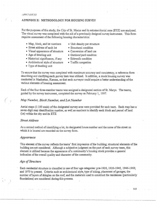#### APPENDIX E: METHODOLOGY FOR HOUSING SURVEY

For the purposes of this study, the City of St. Marys and its extraterritorial zone (ETZ) are analyzed. The visual survey was completed with the aid of a previously designed survey instrument. This form requires assessment of the following housing characteristics:

- Map, block, and lot numbers Unit density per structure
- Street address of each lot Structural condition
- -
- Visual appearance of structure Conversion of land use
- Age of dwelling unit Outdoor/yard condition
- Historical significance, if any Sidewalk condition
- Architectural style of structure Traffic congestion
- Type of dwelling unit
- 
- 
- 

To ensure that the survey was completed with maximum accuracy and consistency, a reference form describing and clarifying each survey item was utilized. In addition, a mock housing survey was conducted *in* Manhattan, Kansas, so that each surveyor could acquire a better understanding of the various elements of housing assessment.

Each of the four three-member teams was assigned a designated section of St. Marys. The teams, guided by the survey instrument, completed the survey on February 1, 1997.

#### *Map Number, Block Number, and Lot Number*

Aerial maps (1:100 scale) of the designated survey area were provided for each team. Each map has a seven-digit map identification number, as well as numbers to identify each block and parcel of land (lot) within the city and its ETZ.

### *Street Address*

As a second method of identifying a lot, its designated house number and the name of the street on which *it is* located are recorded on the survey form.

#### *Appearance*

This element of the survey reflects the teams' first impression of the building; structural elements of the building are not considered. Although a subjective judgment on the part of each survey team, this element is utilized because the appearance of a community's housing stock provides a general indication of the overall quality and character of the community.

# *Age of Structure*

Each residential structure is classified *in* one of four age categories: pre-1920, 1920-1945, 1946-1969, and 1970 to present. Criteria such as architectural style, type of siding, placement of garages, the number of layers of shingles on the roof, and the materials used to construct the residences (particularly foundations) are considered during this process.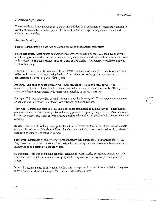# *Historical Significance*

The teams determined whether or not a particular building is an important or recognizable landmark worthy of preservation or other special attention. In addition to age, surveyors also considered architectural qualities.

#### *Architectural Style*

Each residential unit is placed into one of the following architectural categories:

Folk/Farmhouse. Most houses belonging to this style were built prior to 1920 and have relatively simple designs. Generally constmcted with wood (though older limestone structures also were placed in this category), this type of house may have one or two stories. These homes often have a gabled front with a wing.

Bungalow. Built primarily between 1900 and 1940, the bungalow usually is a one-to one-and-onehalf-story house with a low-pitched gabled roof and wide eave overhangs. A bungalow also is characterized by a full- or partial-width porch.

Modern. This style of house typically was built between the 1950s and early 1970s. It is characterized by flat or low-pitched roofs and unusual window shapes and placements. This type of structure often was constmcted with contrasting materials of varying textures.

Cottage. This type of dwelling is small, compact, and simply designed. The cottage usually has one or one-and-one-half stories, a centered front entrance, and a gabled roof.

Victorian. Constructed prior to 1920, this is the most ornamental of all house styles. These homes often have dominant front facing gables and steeply pitched, irregularly shaped roofs. Most Victorian homes also possess full-width or wrap-around porches, which often are accented with decorative wood carvings.

Ranch. This form of dwelling was popular from the 1950s through the 1970s. It consists of a single story and is designed with horizontal lines. Ranch homes typically have low-pitched roofs, moderate to wide eave overhangs, and attached garages.

Split-level. Residences of this style were predominantly built during the 1950s through the 1970s. They share the basic characteristics of ranch-style homes, but split-levels consist of a two-story unit intercepted at mid-height by a one-story unit.

Apartments. This type of building generally consists of several stories designed to contain multiple residential units. Unlike most other housing styles, this type of structure typically is occupied by renters.

Other. Structures placed in this category either cannot be placed into one of the established categories or have been altered to such a degree that they are difficult to classify.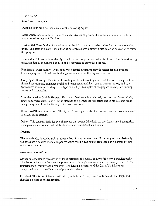$I$  PPENDICES

# *Dwelling Unit Type*

Dwelling units are classified as one of the following types:

Residential, Single-family. These residential structures provide shelter for an individual or for a single housekeeping unit (family).

Residential, Two-family. A two-family residential structure provides shelter for two housekeeping units. This form of housing can either be designed as a two-family structure or be converted to serve this purpose.

Residential, Three- or Four-family. Such a structure provides shelter for three to four housekeeping units, and *it* may be designed as such or be converted to serve this purpose.

Residential, Multi-family. Multi-family residential structures provide shelter for five or more housekeeping units. Apartment buildings are examples of *this* type of structure.

Congregate Housing. This form of dwelling is characterized by shared kitchen and dining facilities, shared housekeeping, organized social and recreational activities, shared transportation, and other appropriate services according to the type of facility. Examples of congregate housing are nursing homes and dormitories.

Manufactured or Mobile Homes. This type of residence is a relatively inexpensive, factory-built, single-family structure. Such a unit is attached to a permanent foundation and is mobile only when being transported from the factory to its permanent site.

Residential/Home Occupation. This type of dwelling consists of a residence with a business venture operating on its premises.

Other. This category includes dwelling types that do not fall within the previously listed categories. Examples include commercial establishments and educational institutions.

#### *Denstty*

The term density is used to refer to the number of units per structure. For example, a single-family residence has a density of one unit per structure, while a two-family residence has a density of two units per structure.

### *Structural Condition*

Structural condition is assessed in order to determine the overall quality of the city's dwelling units. This factor is important because the preservation of a city's residential units is directly related to the municipality's livability and prosperity. The housing structures of the City of St. Marys are categorized into six classifications of physical condition.

Excellent. This is the highest classification, with the unit being structurally sound, well-kept, and showing no signs of needed repairs.

117

and the state of the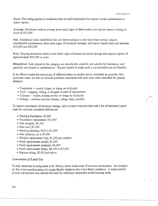,/ i.

Good. This rating applies to residences that are well-maintained but require routine maintenance or minor repairs.

Average. Structures rated as average show early signs of deterioration and require repairs costing as much as \$10,000.

Fair. Residential units classified as fair are deteriorating at a rate faster than normal, require considerable maintenance, show some signs of strnctural damage, and require repairs that cost between \$10,000 and \$20,000.

Poor. Housing structures rated as poor show signs of serious structural damage and require repairs of approximately \$20,000 or more.

Dilapidated. Units placed in this category are structurally unstable, not suitable for habitation, and generally are subject to condemnation. Repairs needed to make such a unit habitable are not feasible.

In an effort to make the evaluations of different teams as similar and as consistent as possible, four particular areas--as well as common problems associated with each area--were identified for special attention:

- Foundation -- cracks, bulges, or being out of plumb
- Roof -- sagging, rotting, or shingles in need of replacement
- Chimney -- cracks, missing mortar or being out of plumb
- Rotting -- window and door frames, siding, steps, porches

To ensure consistency of structural ratings, each surveyor was provided with a list of estimated repair costs for common household deficiencies:

- Patching foundation, \$5,000
- Foundation replacement, \$15,000
- New shingles, \$2,500
- New roof, \$7,500
- Patching chimney, \$250 to \$1,000
- New chimney, up to \$5,000
- Window replacement (rot), \$1,200 per window
- Porch replacement (small), \$1,500
- Porch replacement (medium), \$4,000
- Porch replacement (large), \$4,500 to \$5,000
- Replace siding, \$2,000 and above

#### *Conversion of Land Use*

To help determine housing needs in St. Marys, teams made notes of land-use conversions. An example of this is the transformation of a single-family residence into a two-family residence. A large number of such conversions may indicate the need for additional reasonably priced housing units.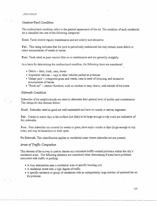#### *Outdoor/Yard Condition*

The outdoor/yard condition refers to the general appearance of the lot. The condition of each residential lot is classified into one of the following categories:

Good. Yards receive regular maintenance and are orderly and attractive.

Fair. This rating indicates that the yard is periodically maintained but may contain some debris or minor accumulation of weeds or leaves.

Poor. Yards rated as poor receive little or no maintenance and are generally unsightly.

As a basis for determining the outdoor/yard condition, the following items are considered:

- Debris -- litter, trash, cans, boxes
- Inoperable vehicles -- cars or other vehicles parked on premises
- Unkept yard -- overgrown grass and weeds, trees in need of trimming, and excessive accumulation of leaves
- "Porch art" -- interior furniture, such as couches or easy chairs, used outside of the home

#### *Sidewalk Condition*

Sidewalks of the neighborhoods are rated to determine their general level of quality and maintenance. The ratings for this element follow:

Good. Sidewalks rated as good are well-maintained and have no cracks or uneven segments.

Fair. Cracks or minor dips in the surface (not likely to be large enough to trip over) are indicative of fair sidewalks.

Poor. Poor sidewalks are covered by weeds or grass, have major cracks or dips (large enough to trip over), and may be hazardous to walk upon.

No Sidewalk. This classification applies to residential areas where sidewalks are not present.

#### *Areas of Traffic Congestion*

This element of the survey is used to denote any noticeable traffic-related problems within the city's residential areas. The following elements are considered when determining if areas have problems associated with traffic or parking:

- A busy intersection near a residential area or specific housing unit
- A residential street with a high degree of traffic
- A specific residence or group of residences with an unexpectedly large number of automobiles on the premises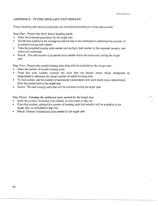### APPENDIX F: FUTURE DWELLING UNIT DEMAND

Future dwelling unit demand projections are calculated according to a three-step process:

#### Step One: Project the city's future housing needs

- Enter the projected population for the target year
- Divide that number by the average household size in the community to determine the number of projected housing units needed
- Take the projected housing units needed and multiply that number by the expected vacancy rate within the community
- Result: The total number of projected units needed within the community during the target year

Step Two: Project the actual housing units that will be available by the target year

- Enter the number of current housing units
- From this prior number, subtract the units that are beyond repair (those designated as dilapidated) to determine the actual number of usable housing units
- To this number, add the number of anticipated replacement units (new starts minus demolitions) from the present time to the target year
- Result: The total housing units that will be available during the target year

Step Three: Calculate the additional units needed by the target year

- Enter the number of housing units needed, as calculated in step one
- From this number, subtract the number of housing units that actually will be available in the target year, as calculated in step two
- Result: Number of additional units needed by the target date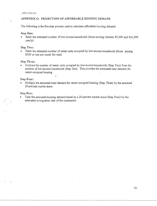# APPENDIX G: PROJECTION OF AFFORDABLE HOUSING DEMAND

. The following is the five-step process used to calculate affordable housing demand:

#### Step One:

• Enter the estimated number of low-income households (those earning between \$5,000 and \$24,999 yearly)

#### Step Two:

• Enter the estimated number of rental units occupied by low-income households (those paymg \$300 or less per month for rent)

#### Step Three:

• Subtract the number of rental units occupied by low-income households (Step Two) from the number of low-income households (Step One). This provides the estimated total demand for renter-occupied housing

#### Step Four:

• Multiply the estimated total demand for renter-occupied housing (Step Three) by the assumed 20-percent market share.

#### Step Five:

;" ( :

• Take the estimated housing demand based on a 20-percent market share (Step Four) by the estimated in-migration rate of the community.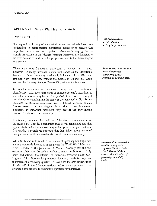# **APPENDIX H: World War I Memorial Arch**

# INTRODUCTION

Throughout the history of humankind, numerous methods have been undertaken to commemorate significant events or to ensure that important persons are not forgotten. Monuments ranging from a simple gravestone to the Vietnam Veterans Memorial are designed to be ever-present reminders of the people and events that have shaped our society.

These monuments function as more than a reminder of our past, however. In many instances, a memorial serves as *the* identifiable landmark of the community in which it is located. It is difficult to imagine New York City without the Statue of Liberty, St. Louis without the Gateway Arch, or Kansas City without its fountains.

In smaller communities, monuments may take on additional significance. With fewer structures to compete for one's attention, an individual memorial may become the *symbol* of the town -- the object one visualizes when hearing the name of the community. For former residents, the structure may evoke fond childhood memories or may forever serve as a psychological tie to their former hometown. Similarly, an important monument may provide the only lasting memory for visitors to a community.

Additionally, to some, the condition of the structure is indicative of the entire city. That is, a monument that is well-maintained and that appears to be valued as an asset may reflect positively upon the town. Conversely, a prominent structure that has fallen into a state of disrepair may result in a less-than-favorable impression of a city.

While St. Marys is fortunate to have several appealing buildings, few are as prominently located or as unique as the World War I Memorial Arch. Located on the grounds of St. Mary's Academy near the east entrance of the city, the arch is visible to many residents on a daily basis and attracts the attention of motorists traveling along U.S. Highway 24. Due to its prominent location, residents may ask themselves the following question: "How does the arch reflect upon St. Marys?" In the following sections, information is provided in an effort to allow citizens to answer this question for themselves.

#### *Appendix Sections:*

• *Introduction* 

• *Origin of the Arch* 

*Monuments often are the most identifiable landmarks or the symbols of communities.* 

*Because of its prominent location along U.S. Highway 24, the World War* I *Memorial Arch attracts the attention of passersby on a dai(v basis.*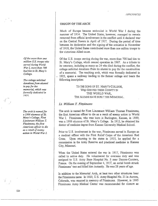#### ORIGIN OF THE ARCH

Much of Europe became embroiled in World War I during the summer of 1914. The United States, however, managed to remain removed from official involvement in the conflict until it declared war on the Central Powers in April of 1917\_. During the period of time between its declaration and the signing of the armistice in November of 1918, the United States contributed more than one million troops to the victorious Allied cause.

Of the U.S. troops serving during the war, more than 700 had ties to St. Mary's College, which ceased operation in 1967. As a tribute to its veterans, including as many as 24 who died during the conflict, the college solicited donations from its alumni to pay for the construction of a memorial. The resulting arch, which was formally dedicated in ·- 1923, spans a walkway leading to the former college and bears the following inscription:

> TO THE SONS OF ST. MARY'S COLLEGE, WHO SERVED THEIR COUNTY IN THE WORLD WAR, THE ALUMNI HAVE BUILT THIS MEMORIAL.

#### *Lt William T. Fitzsimons*

The arch is named for First Lieutenant William Thomas Fitzsimons, the first American officer to die as a result of enemy action in World War I. Fitzsimons, who was born in Burlington, Kansas, in 1889, was a 1906 alumnus of St. Mary's College. In 1912, he obtained his doctor of medicine degree from Kansas University Medical School.

Prior to U.S. involvement in the war, Fitzsimons served in Europe as a medical officer with the First Relief Corps of the American Red Cross. Upon returning to the states in 1915, he applied for a commission in the Army Reserve and practiced medicine in Kansas City, Missouri.

When the United States entered the war in 1917, Fitzsimons was called to active duty. He volunteered for overseas duty and was assigned to U.S. Army Base Hospital No. 5\_ near Dannes-Camiers, France. On the evening of September 4, 1917, an aerial bomb struck Fitzsimons' tent and killed him instantly. He was 28 years of age.

In addition to the Memorial Arch, at least two other structures bear the Fitzsimons name. In 1920, U.S. Army Hospital No. 21 in Aurora, Colorado, was renamed in memory of Fitzsimons. However, in 1995 Fitzsimons Army Medical Center was recommended for closure as

*Of the more than one million U.S. troops who served during World War* I, *more than 700 had ties to St. Mary's College.* 

*The college solicited donations from alumni to pay for the memorial, which was formally dedicated in*  707l

*The arch is named for a 1906 alumnus of St Mary's College, First Lieutenant William T. Fitzsimons, the first American officer to die as a result of enemy action in World War I.* 

/ , /